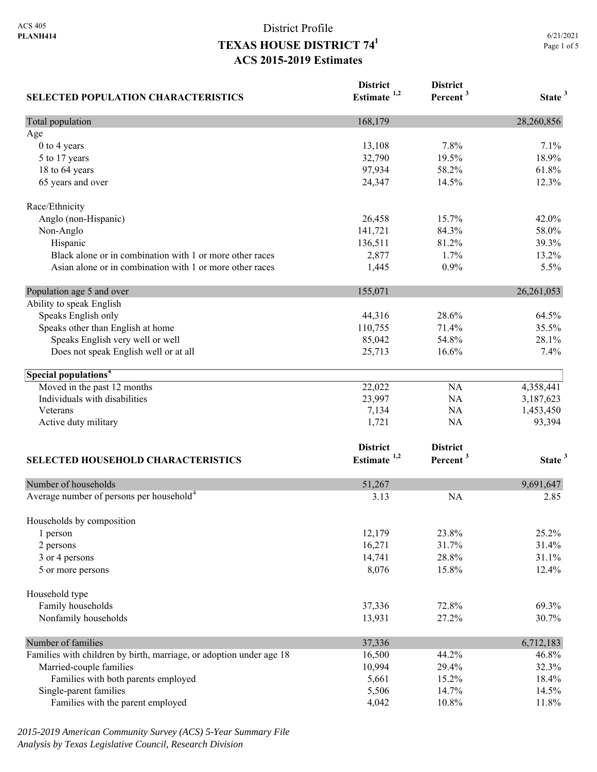| <b>SELECTED POPULATION CHARACTERISTICS</b>                          | <b>District</b><br>Estimate <sup>1,2</sup> | <b>District</b><br>Percent <sup>3</sup> | State <sup>3</sup> |
|---------------------------------------------------------------------|--------------------------------------------|-----------------------------------------|--------------------|
| Total population                                                    | 168,179                                    |                                         | 28,260,856         |
| Age                                                                 |                                            |                                         |                    |
| 0 to 4 years                                                        | 13,108                                     | 7.8%                                    | 7.1%               |
| 5 to 17 years                                                       | 32,790                                     | 19.5%                                   | 18.9%              |
| 18 to 64 years                                                      | 97,934                                     | 58.2%                                   | 61.8%              |
| 65 years and over                                                   | 24,347                                     | 14.5%                                   | 12.3%              |
| Race/Ethnicity                                                      |                                            |                                         |                    |
| Anglo (non-Hispanic)                                                | 26,458                                     | 15.7%                                   | 42.0%              |
| Non-Anglo                                                           | 141,721                                    | 84.3%                                   | 58.0%              |
| Hispanic                                                            | 136,511                                    | 81.2%                                   | 39.3%              |
| Black alone or in combination with 1 or more other races            | 2,877                                      | 1.7%                                    | 13.2%              |
| Asian alone or in combination with 1 or more other races            | 1,445                                      | 0.9%                                    | 5.5%               |
| Population age 5 and over                                           | 155,071                                    |                                         | 26, 261, 053       |
| Ability to speak English                                            |                                            |                                         |                    |
| Speaks English only                                                 | 44,316                                     | 28.6%                                   | 64.5%              |
| Speaks other than English at home                                   | 110,755                                    | 71.4%                                   | 35.5%              |
| Speaks English very well or well                                    | 85,042                                     | 54.8%                                   | 28.1%              |
| Does not speak English well or at all                               | 25,713                                     | 16.6%                                   | 7.4%               |
| Special populations <sup>4</sup>                                    |                                            |                                         |                    |
| Moved in the past 12 months                                         | 22,022                                     | NA                                      | 4,358,441          |
| Individuals with disabilities                                       | 23,997                                     | NA                                      | 3,187,623          |
| Veterans                                                            | 7,134                                      | NA                                      | 1,453,450          |
| Active duty military                                                | 1,721                                      | NA                                      | 93,394             |
|                                                                     | <b>District</b>                            | <b>District</b>                         |                    |
| <b>SELECTED HOUSEHOLD CHARACTERISTICS</b>                           | Estimate <sup>1,2</sup>                    | Percent <sup>3</sup>                    | State <sup>3</sup> |
|                                                                     |                                            |                                         |                    |
| Number of households                                                | 51,267                                     |                                         | 9,691,647          |
| Average number of persons per household <sup>4</sup>                | 3.13                                       | <b>NA</b>                               | 2.85               |
| Households by composition                                           |                                            |                                         |                    |
| 1 person                                                            | 12,179                                     | 23.8%                                   | 25.2%              |
| 2 persons                                                           | 16,271                                     | 31.7%                                   | 31.4%              |
| 3 or 4 persons                                                      | 14,741                                     | 28.8%                                   | 31.1%              |
| 5 or more persons                                                   | 8,076                                      | 15.8%                                   | 12.4%              |
| Household type                                                      |                                            |                                         |                    |
| Family households                                                   | 37,336                                     | 72.8%                                   | 69.3%              |
| Nonfamily households                                                | 13,931                                     | 27.2%                                   | 30.7%              |
| Number of families                                                  | 37,336                                     |                                         | 6,712,183          |
| Families with children by birth, marriage, or adoption under age 18 | 16,500                                     | 44.2%                                   | 46.8%              |
| Married-couple families                                             | 10,994                                     | 29.4%                                   | 32.3%              |
| Families with both parents employed                                 | 5,661                                      | 15.2%                                   | 18.4%              |
| Single-parent families                                              | 5,506                                      | 14.7%                                   | 14.5%              |
| Families with the parent employed                                   | 4,042                                      | 10.8%                                   | 11.8%              |

*2015-2019 American Community Survey (ACS) 5-Year Summary File Analysis by Texas Legislative Council, Research Division*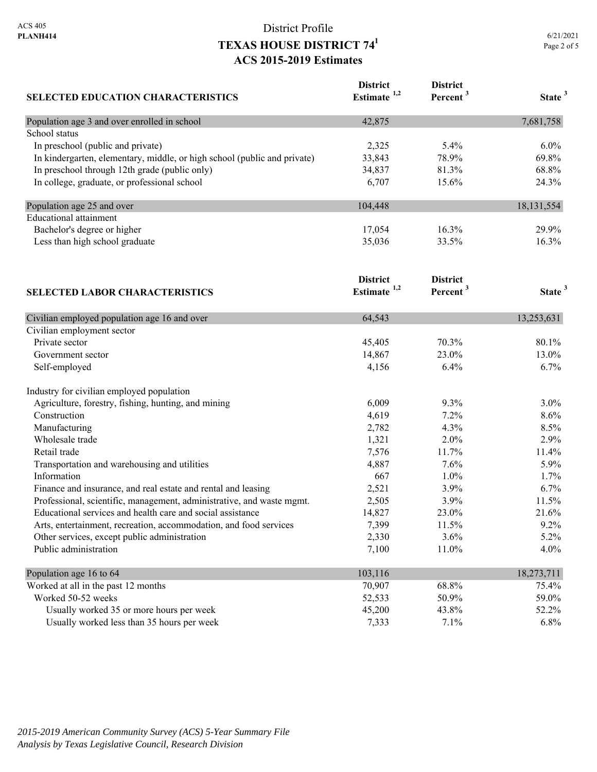| <b>SELECTED EDUCATION CHARACTERISTICS</b>                                | <b>District</b><br>Estimate <sup>1,2</sup> | <b>District</b><br>Percent <sup>3</sup> | State <sup>3</sup> |
|--------------------------------------------------------------------------|--------------------------------------------|-----------------------------------------|--------------------|
| Population age 3 and over enrolled in school                             | 42,875                                     |                                         | 7,681,758          |
| School status                                                            |                                            |                                         |                    |
| In preschool (public and private)                                        | 2,325                                      | 5.4%                                    | $6.0\%$            |
| In kindergarten, elementary, middle, or high school (public and private) | 33,843                                     | 78.9%                                   | 69.8%              |
| In preschool through 12th grade (public only)                            | 34,837                                     | 81.3%                                   | 68.8%              |
| In college, graduate, or professional school                             | 6,707                                      | 15.6%                                   | 24.3%              |
| Population age 25 and over                                               | 104,448                                    |                                         | 18, 131, 554       |
| <b>Educational</b> attainment                                            |                                            |                                         |                    |
| Bachelor's degree or higher                                              | 17,054                                     | 16.3%                                   | 29.9%              |
| Less than high school graduate                                           | 35,036                                     | 33.5%                                   | 16.3%              |
|                                                                          | <b>District</b>                            | <b>District</b>                         |                    |
| <b>SELECTED LABOR CHARACTERISTICS</b>                                    | Estimate <sup>1,2</sup>                    | Percent <sup>3</sup>                    | State <sup>3</sup> |
| Civilian employed population age 16 and over                             | 64,543                                     |                                         | 13,253,631         |
| Civilian employment sector                                               |                                            |                                         |                    |
| Private sector                                                           | 45,405                                     | 70.3%                                   | 80.1%              |
| Government sector                                                        | 14,867                                     | 23.0%                                   | 13.0%              |
| Self-employed                                                            | 4,156                                      | 6.4%                                    | 6.7%               |
| Industry for civilian employed population                                |                                            |                                         |                    |
| Agriculture, forestry, fishing, hunting, and mining                      | 6,009                                      | 9.3%                                    | $3.0\%$            |
| Construction                                                             | 4,619                                      | 7.2%                                    | 8.6%               |
| Manufacturing                                                            | 2,782                                      | 4.3%                                    | 8.5%               |
| Wholesale trade                                                          | 1,321                                      | 2.0%                                    | 2.9%               |
| Retail trade                                                             | 7,576                                      | 11.7%                                   | 11.4%              |
| Transportation and warehousing and utilities                             | 4,887                                      | 7.6%                                    | 5.9%               |
| Information                                                              | 667                                        | $1.0\%$                                 | 1.7%               |
| Finance and insurance, and real estate and rental and leasing            | 2,521                                      | 3.9%                                    | 6.7%               |
| Professional, scientific, management, administrative, and waste mgmt.    | 2,505                                      | 3.9%                                    | 11.5%              |
| Educational services and health care and social assistance               | 14,827                                     | 23.0%                                   | 21.6%              |
| Arts, entertainment, recreation, accommodation, and food services        | 7,399                                      | 11.5%                                   | 9.2%               |
| Other services, except public administration                             | 2,330                                      | 3.6%                                    | 5.2%               |
| Public administration                                                    | 7,100                                      | 11.0%                                   | 4.0%               |
| Population age 16 to 64                                                  | 103,116                                    |                                         | 18,273,711         |
| Worked at all in the past 12 months                                      | 70,907                                     | 68.8%                                   | 75.4%              |
| Worked 50-52 weeks                                                       | 52,533                                     | 50.9%                                   | 59.0%              |
| Usually worked 35 or more hours per week                                 | 45,200                                     | 43.8%                                   | 52.2%              |
| Usually worked less than 35 hours per week                               | 7,333                                      | 7.1%                                    | 6.8%               |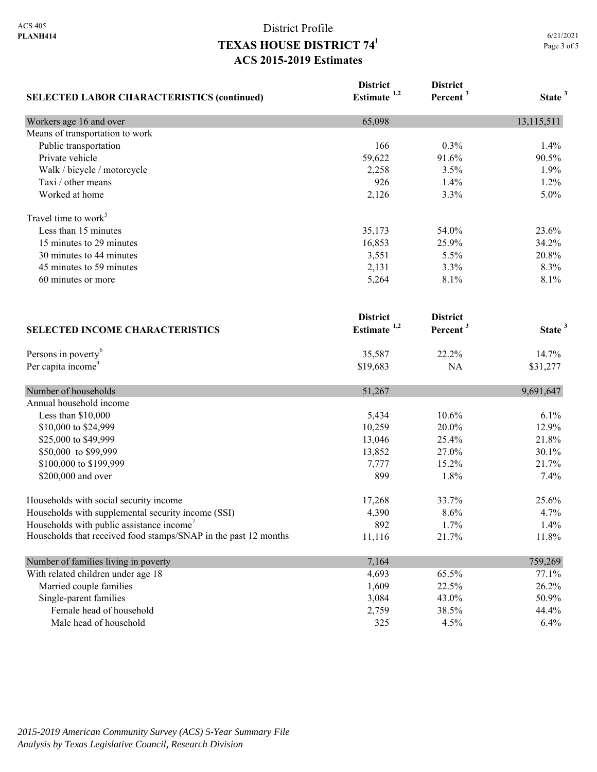| <b>SELECTED LABOR CHARACTERISTICS (continued)</b>               | <b>District</b><br>Estimate <sup>1,2</sup> | <b>District</b><br>Percent <sup>3</sup> | State <sup>3</sup> |
|-----------------------------------------------------------------|--------------------------------------------|-----------------------------------------|--------------------|
| Workers age 16 and over                                         | 65,098                                     |                                         | 13,115,511         |
| Means of transportation to work                                 |                                            |                                         |                    |
| Public transportation                                           | 166                                        | 0.3%                                    | 1.4%               |
| Private vehicle                                                 | 59,622                                     | 91.6%                                   | 90.5%              |
| Walk / bicycle / motorcycle                                     | 2,258                                      | 3.5%                                    | 1.9%               |
| Taxi / other means                                              | 926                                        | 1.4%                                    | 1.2%               |
| Worked at home                                                  | 2,126                                      | 3.3%                                    | 5.0%               |
| Travel time to work <sup>5</sup>                                |                                            |                                         |                    |
| Less than 15 minutes                                            | 35,173                                     | 54.0%                                   | 23.6%              |
| 15 minutes to 29 minutes                                        | 16,853                                     | 25.9%                                   | 34.2%              |
| 30 minutes to 44 minutes                                        | 3,551                                      | 5.5%                                    | 20.8%              |
| 45 minutes to 59 minutes                                        | 2,131                                      | 3.3%                                    | 8.3%               |
| 60 minutes or more                                              | 5,264                                      | 8.1%                                    | 8.1%               |
| <b>SELECTED INCOME CHARACTERISTICS</b>                          | <b>District</b><br>Estimate <sup>1,2</sup> | <b>District</b><br>Percent <sup>3</sup> | State <sup>3</sup> |
|                                                                 |                                            |                                         |                    |
| Persons in poverty <sup>6</sup>                                 | 35,587                                     | 22.2%                                   | 14.7%              |
| Per capita income <sup>4</sup>                                  | \$19,683                                   | NA                                      | \$31,277           |
| Number of households                                            | 51,267                                     |                                         | 9,691,647          |
| Annual household income                                         |                                            |                                         |                    |
| Less than \$10,000                                              | 5,434                                      | 10.6%                                   | 6.1%               |
| \$10,000 to \$24,999                                            | 10,259                                     | 20.0%                                   | 12.9%              |
| \$25,000 to \$49,999                                            | 13,046                                     | 25.4%                                   | 21.8%              |
| \$50,000 to \$99,999                                            | 13,852                                     | 27.0%                                   | 30.1%              |
| \$100,000 to \$199,999                                          | 7,777                                      | 15.2%                                   | 21.7%              |
| \$200,000 and over                                              | 899                                        | 1.8%                                    | 7.4%               |
| Households with social security income                          | 17,268                                     | 33.7%                                   | 25.6%              |
| Households with supplemental security income (SSI)              | 4,390                                      | 8.6%                                    | 4.7%               |
| Households with public assistance income'                       | 892                                        | 1.7%                                    | 1.4%               |
| Households that received food stamps/SNAP in the past 12 months | 11,116                                     | 21.7%                                   | 11.8%              |
| Number of families living in poverty                            | 7,164                                      |                                         | 759,269            |
| With related children under age 18                              | 4,693                                      | 65.5%                                   | 77.1%              |
| Married couple families                                         | 1,609                                      | 22.5%                                   | 26.2%              |
| Single-parent families                                          | 3,084                                      | 43.0%                                   | 50.9%              |
| Female head of household                                        | 2,759                                      | 38.5%                                   | 44.4%              |
| Male head of household                                          | 325                                        | 4.5%                                    | 6.4%               |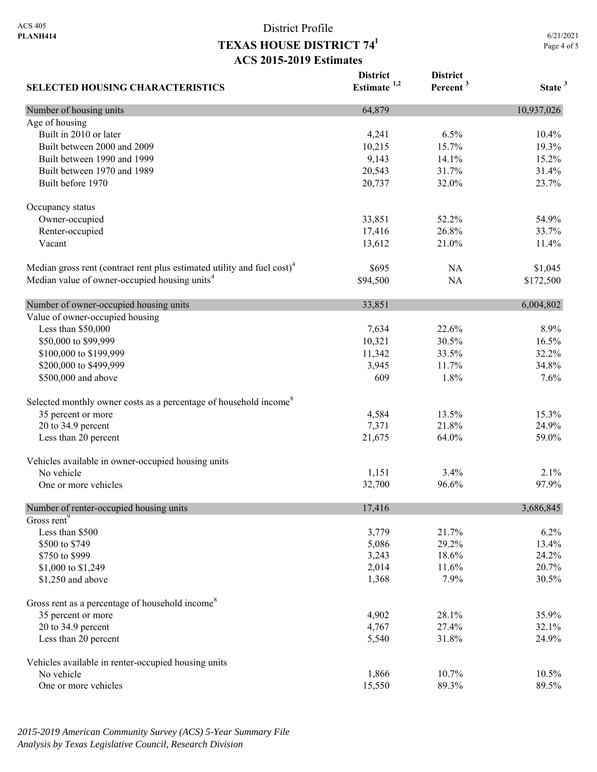6/21/2021 Page 4 of 5

| <b>SELECTED HOUSING CHARACTERISTICS</b>                                             | <b>District</b><br>Estimate $1,2$ | <b>District</b><br>Percent <sup>3</sup> | State <sup>3</sup> |
|-------------------------------------------------------------------------------------|-----------------------------------|-----------------------------------------|--------------------|
| Number of housing units                                                             | 64,879                            |                                         | 10,937,026         |
| Age of housing                                                                      |                                   |                                         |                    |
| Built in 2010 or later                                                              | 4,241                             | 6.5%                                    | 10.4%              |
| Built between 2000 and 2009                                                         | 10,215                            | 15.7%                                   | 19.3%              |
| Built between 1990 and 1999                                                         | 9,143                             | 14.1%                                   | 15.2%              |
| Built between 1970 and 1989                                                         | 20,543                            | 31.7%                                   | 31.4%              |
| Built before 1970                                                                   | 20,737                            | 32.0%                                   | 23.7%              |
| Occupancy status                                                                    |                                   |                                         |                    |
| Owner-occupied                                                                      | 33,851                            | 52.2%                                   | 54.9%              |
| Renter-occupied                                                                     | 17,416                            | 26.8%                                   | 33.7%              |
| Vacant                                                                              | 13,612                            | 21.0%                                   | 11.4%              |
| Median gross rent (contract rent plus estimated utility and fuel cost) <sup>4</sup> | \$695                             | NA                                      | \$1,045            |
| Median value of owner-occupied housing units <sup>4</sup>                           | \$94,500                          | <b>NA</b>                               | \$172,500          |
| Number of owner-occupied housing units                                              | 33,851                            |                                         | 6,004,802          |
| Value of owner-occupied housing                                                     |                                   |                                         |                    |
| Less than \$50,000                                                                  | 7,634                             | 22.6%                                   | 8.9%               |
| \$50,000 to \$99,999                                                                | 10,321                            | 30.5%                                   | 16.5%              |
| \$100,000 to \$199,999                                                              | 11,342                            | 33.5%                                   | 32.2%              |
| \$200,000 to \$499,999                                                              | 3,945                             | 11.7%                                   | 34.8%              |
| \$500,000 and above                                                                 | 609                               | 1.8%                                    | 7.6%               |
| Selected monthly owner costs as a percentage of household income <sup>8</sup>       |                                   |                                         |                    |
| 35 percent or more                                                                  | 4,584                             | 13.5%                                   | 15.3%              |
| 20 to 34.9 percent                                                                  | 7,371                             | 21.8%                                   | 24.9%              |
| Less than 20 percent                                                                | 21,675                            | 64.0%                                   | 59.0%              |
| Vehicles available in owner-occupied housing units                                  |                                   |                                         |                    |
| No vehicle                                                                          | 1,151                             | 3.4%                                    | 2.1%               |
| One or more vehicles                                                                | 32,700                            | 96.6%                                   | 97.9%              |
| Number of renter-occupied housing units                                             | 17,416                            |                                         | 3,686,845          |
| Gross rent <sup>9</sup>                                                             |                                   |                                         |                    |
| Less than \$500                                                                     | 3,779                             | 21.7%                                   | 6.2%               |
| \$500 to \$749                                                                      | 5,086                             | 29.2%                                   | 13.4%              |
| \$750 to \$999                                                                      | 3,243                             | 18.6%                                   | 24.2%              |
| \$1,000 to \$1,249                                                                  | 2,014                             | 11.6%                                   | 20.7%              |
| \$1,250 and above                                                                   | 1,368                             | 7.9%                                    | 30.5%              |
| Gross rent as a percentage of household income <sup>8</sup>                         |                                   |                                         |                    |
| 35 percent or more                                                                  | 4,902                             | 28.1%                                   | 35.9%              |
| 20 to 34.9 percent                                                                  | 4,767                             | 27.4%                                   | 32.1%              |
| Less than 20 percent                                                                | 5,540                             | 31.8%                                   | 24.9%              |
| Vehicles available in renter-occupied housing units                                 |                                   |                                         |                    |
| No vehicle                                                                          | 1,866                             | 10.7%                                   | 10.5%              |
| One or more vehicles                                                                | 15,550                            | 89.3%                                   | 89.5%              |